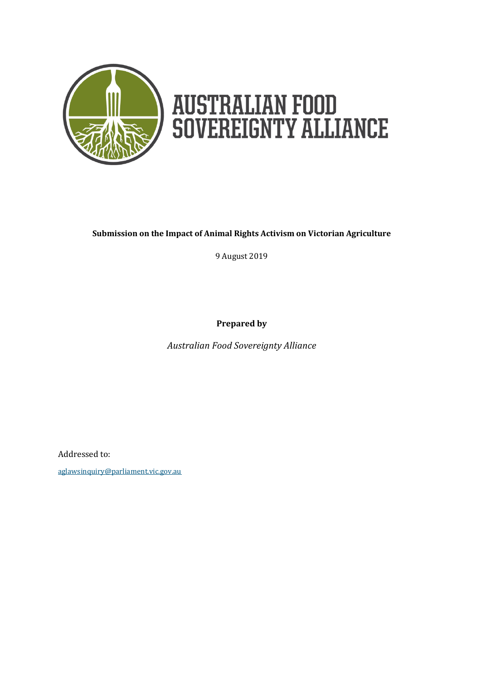

# **AUSTRALIAN FOOD<br>SOVEREIGNTY ALLIANCE**

#### **Submission on the Impact of Animal Rights Activism on Victorian Agriculture**

9 August 2019

**Prepared by**

*Australian Food Sovereignty Alliance*

Addressed to:

[aglawsinquiry@parliament.vic.gov.au](mailto:aglawsinquiry@parliament.vic.gov.au)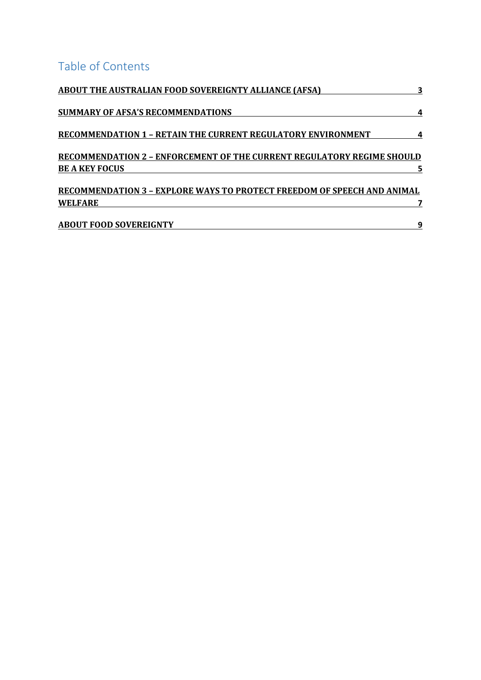## Table of Contents

| <b>ABOUT THE AUSTRALIAN FOOD SOVEREIGNTY ALLIANCE (AFSA)</b>                                           |   |
|--------------------------------------------------------------------------------------------------------|---|
| <b>SUMMARY OF AFSA'S RECOMMENDATIONS</b>                                                               |   |
| <b>RECOMMENDATION 1 - RETAIN THE CURRENT REGULATORY ENVIRONMENT</b>                                    |   |
| <b>RECOMMENDATION 2 - ENFORCEMENT OF THE CURRENT REGULATORY REGIME SHOULD</b><br><b>BE A KEY FOCUS</b> |   |
| <b>RECOMMENDATION 3 - EXPLORE WAYS TO PROTECT FREEDOM OF SPEECH AND ANIMAL</b>                         |   |
| <b>WELFARE</b>                                                                                         |   |
| <b>ABOUT FOOD SOVEREIGNTY</b>                                                                          | 9 |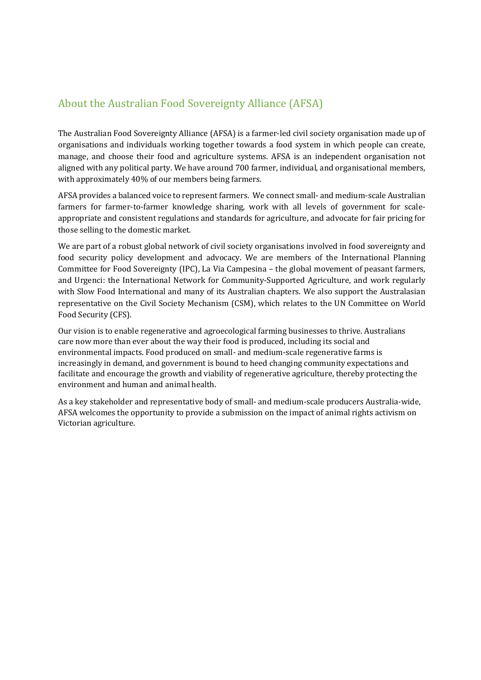#### <span id="page-2-0"></span>About the Australian Food Sovereignty Alliance (AFSA)

The Australian Food Sovereignty Alliance (AFSA) is a farmer-led civil society organisation made up of organisations and individuals working together towards a food system in which people can create, manage, and choose their food and agriculture systems. AFSA is an independent organisation not aligned with any political party. We have around 700 farmer, individual, and organisational members, with approximately 40% of our members being farmers.

AFSA provides a balanced voice to represent farmers. We connect small- and medium-scale Australian farmers for farmer-to-farmer knowledge sharing, work with all levels of government for scaleappropriate and consistent regulations and standards for agriculture, and advocate for fair pricing for those selling to the domestic market.

We are part of a robust global network of civil society organisations involved in food sovereignty and food security policy development and advocacy. We are members of the International Planning Committee for Food Sovereignty (IPC), La Via Campesina – the global movement of peasant farmers, and Urgenci: the International Network for Community-Supported Agriculture, and work regularly with Slow Food International and many of its Australian chapters. We also support the Australasian representative on the Civil Society Mechanism (CSM), which relates to the UN Committee on World Food Security (CFS).

Our vision is to enable regenerative and agroecological farming businesses to thrive. Australians care now more than ever about the way their food is produced, including its social and environmental impacts. Food produced on small- and medium-scale regenerative farms is increasingly in demand, and government is bound to heed changing community expectations and facilitate and encourage the growth and viability of regenerative agriculture, thereby protecting the environment and human and animal health.

As a key stakeholder and representative body of small- and medium-scale producers Australia-wide, AFSA welcomes the opportunity to provide a submission on the impact of animal rights activism on Victorian agriculture.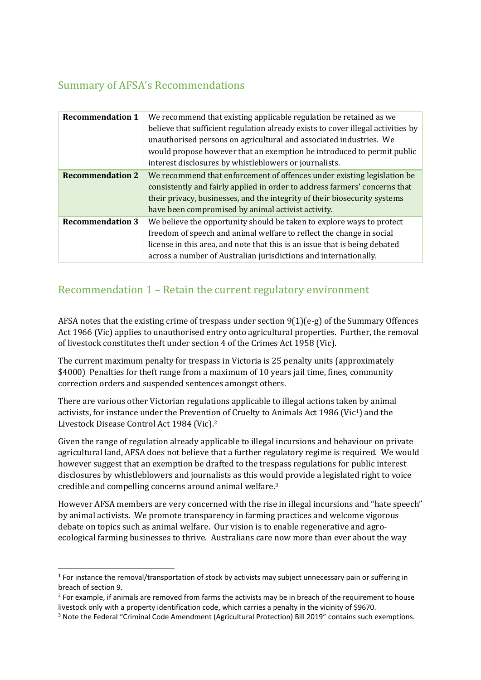#### <span id="page-3-0"></span>Summary of AFSA's Recommendations

| <b>Recommendation 1</b> | We recommend that existing applicable regulation be retained as we               |
|-------------------------|----------------------------------------------------------------------------------|
|                         | believe that sufficient regulation already exists to cover illegal activities by |
|                         | unauthorised persons on agricultural and associated industries. We               |
|                         | would propose however that an exemption be introduced to permit public           |
|                         | interest disclosures by whistleblowers or journalists.                           |
| <b>Recommendation 2</b> | We recommend that enforcement of offences under existing legislation be          |
|                         | consistently and fairly applied in order to address farmers' concerns that       |
|                         | their privacy, businesses, and the integrity of their biosecurity systems        |
|                         | have been compromised by animal activist activity.                               |
| <b>Recommendation 3</b> | We believe the opportunity should be taken to explore ways to protect            |
|                         | freedom of speech and animal welfare to reflect the change in social             |
|                         | license in this area, and note that this is an issue that is being debated       |
|                         | across a number of Australian jurisdictions and internationally.                 |
|                         |                                                                                  |

#### <span id="page-3-1"></span>Recommendation 1 – Retain the current regulatory environment

AFSA notes that the existing crime of trespass under section  $9(1)(e-g)$  of the Summary Offences Act 1966 (Vic) applies to unauthorised entry onto agricultural properties. Further, the removal of livestock constitutes theft under section 4 of the Crimes Act 1958 (Vic).

The current maximum penalty for trespass in Victoria is 25 penalty units (approximately \$4000) Penalties for theft range from a maximum of 10 years jail time, fines, community correction orders and suspended sentences amongst others.

There are various other Victorian regulations applicable to illegal actions taken by animal activists, for instance under the Prevention of Cruelty to Animals Act 1986 (Vic1) and the Livestock Disease Control Act 1984 (Vic).<sup>2</sup>

Given the range of regulation already applicable to illegal incursions and behaviour on private agricultural land, AFSA does not believe that a further regulatory regime is required. We would however suggest that an exemption be drafted to the trespass regulations for public interest disclosures by whistleblowers and journalists as this would provide a legislated right to voice credible and compelling concerns around animal welfare.<sup>3</sup>

However AFSA members are very concerned with the rise in illegal incursions and "hate speech" by animal activists. We promote transparency in farming practices and welcome vigorous debate on topics such as animal welfare. Our vision is to enable regenerative and agroecological farming businesses to thrive. Australians care now more than ever about the way

 $\overline{a}$ 

<sup>&</sup>lt;sup>1</sup> For instance the removal/transportation of stock by activists may subject unnecessary pain or suffering in breach of section 9.

<sup>&</sup>lt;sup>2</sup> For example, if animals are removed from farms the activists may be in breach of the requirement to house livestock only with a property identification code, which carries a penalty in the vicinity of \$9670.

<sup>3</sup> Note the Federal "Criminal Code Amendment (Agricultural Protection) Bill 2019" contains such exemptions.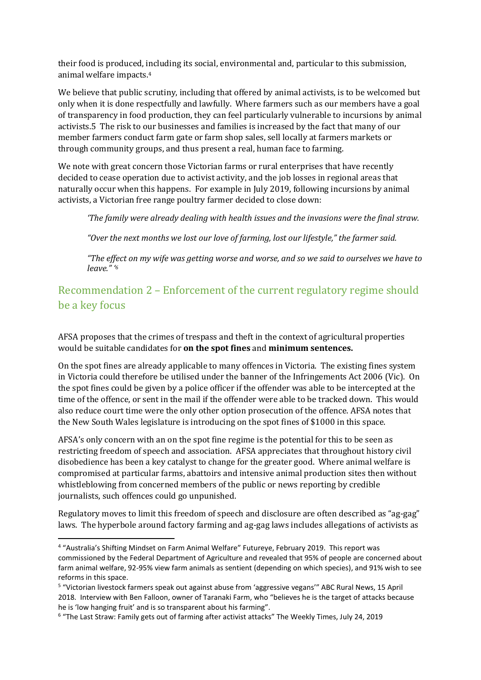their food is produced, including its social, environmental and, particular to this submission, animal welfare impacts.<sup>4</sup>

We believe that public scrutiny, including that offered by animal activists, is to be welcomed but only when it is done respectfully and lawfully. Where farmers such as our members have a goal of transparency in food production, they can feel particularly vulnerable to incursions by animal activists.5 The risk to our businesses and families is increased by the fact that many of our member farmers conduct farm gate or farm shop sales, sell locally at farmers markets or through community groups, and thus present a real, human face to farming.

We note with great concern those Victorian farms or rural enterprises that have recently decided to cease operation due to activist activity, and the job losses in regional areas that naturally occur when this happens. For example in July 2019, following incursions by animal activists, a Victorian free range poultry farmer decided to close down:

*'The family were already dealing with health issues and the invasions were the final straw.*

*"Over the next months we lost our love of farming, lost our lifestyle," the farmer said.*

*"The effect on my wife was getting worse and worse, and so we said to ourselves we have to leave." '<sup>6</sup>*

### <span id="page-4-0"></span>Recommendation 2 – Enforcement of the current regulatory regime should be a key focus

AFSA proposes that the crimes of trespass and theft in the context of agricultural properties would be suitable candidates for **on the spot fines** and **minimum sentences.** 

On the spot fines are already applicable to many offences in Victoria. The existing fines system in Victoria could therefore be utilised under the banner of the Infringements Act 2006 (Vic). On the spot fines could be given by a police officer if the offender was able to be intercepted at the time of the offence, or sent in the mail if the offender were able to be tracked down. This would also reduce court time were the only other option prosecution of the offence. AFSA notes that the New South Wales legislature is introducing on the spot fines of \$1000 in this space.

AFSA's only concern with an on the spot fine regime is the potential for this to be seen as restricting freedom of speech and association. AFSA appreciates that throughout history civil disobedience has been a key catalyst to change for the greater good. Where animal welfare is compromised at particular farms, abattoirs and intensive animal production sites then without whistleblowing from concerned members of the public or news reporting by credible journalists, such offences could go unpunished.

Regulatory moves to limit this freedom of speech and disclosure are often described as "ag-gag" laws. The hyperbole around factory farming and ag-gag laws includes allegations of activists as

**.** 

<sup>4</sup> "Australia's Shifting Mindset on Farm Animal Welfare" Futureye, February 2019. This report was commissioned by the Federal Department of Agriculture and revealed that 95% of people are concerned about farm animal welfare, 92-95% view farm animals as sentient (depending on which species), and 91% wish to see reforms in this space.

<sup>&</sup>lt;sup>5</sup> "Victorian livestock farmers speak out against abuse from 'aggressive vegans'" ABC Rural News, 15 April 2018. Interview with Ben Falloon, owner of Taranaki Farm, who "believes he is the target of attacks because he is 'low hanging fruit' and is so transparent about his farming".

<sup>&</sup>lt;sup>6</sup> "The Last Straw: Family gets out of farming after activist attacks" The Weekly Times, July 24, 2019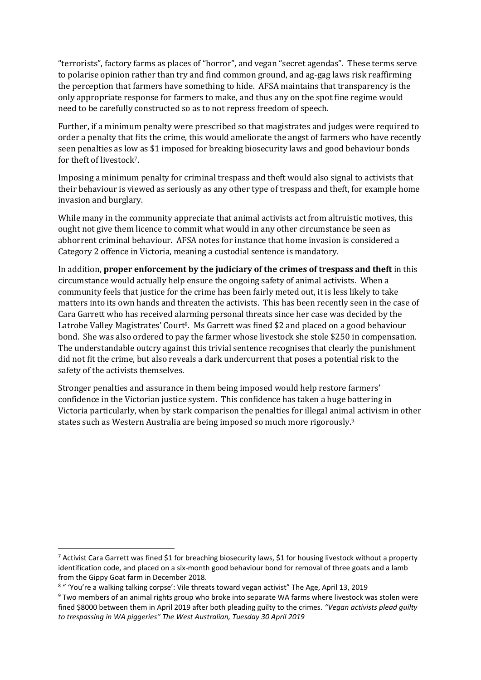"terrorists", factory farms as places of "horror", and vegan "secret agendas". These terms serve to polarise opinion rather than try and find common ground, and ag-gag laws risk reaffirming the perception that farmers have something to hide. AFSA maintains that transparency is the only appropriate response for farmers to make, and thus any on the spot fine regime would need to be carefully constructed so as to not repress freedom of speech.

Further, if a minimum penalty were prescribed so that magistrates and judges were required to order a penalty that fits the crime, this would ameliorate the angst of farmers who have recently seen penalties as low as \$1 imposed for breaking biosecurity laws and good behaviour bonds for theft of livestock7.

Imposing a minimum penalty for criminal trespass and theft would also signal to activists that their behaviour is viewed as seriously as any other type of trespass and theft, for example home invasion and burglary.

While many in the community appreciate that animal activists act from altruistic motives, this ought not give them licence to commit what would in any other circumstance be seen as abhorrent criminal behaviour. AFSA notes for instance that home invasion is considered a Category 2 offence in Victoria, meaning a custodial sentence is mandatory.

In addition, **proper enforcement by the judiciary of the crimes of trespass and theft** in this circumstance would actually help ensure the ongoing safety of animal activists. When a community feels that justice for the crime has been fairly meted out, it is less likely to take matters into its own hands and threaten the activists. This has been recently seen in the case of Cara Garrett who has received alarming personal threats since her case was decided by the Latrobe Valley Magistrates' Court<sup>8</sup>. Ms Garrett was fined \$2 and placed on a good behaviour bond. She was also ordered to pay the farmer whose livestock she stole \$250 in compensation. The understandable outcry against this trivial sentence recognises that clearly the punishment did not fit the crime, but also reveals a dark undercurrent that poses a potential risk to the safety of the activists themselves.

Stronger penalties and assurance in them being imposed would help restore farmers' confidence in the Victorian justice system. This confidence has taken a huge battering in Victoria particularly, when by stark comparison the penalties for illegal animal activism in other states such as Western Australia are being imposed so much more rigorously.<sup>9</sup>

 $\overline{a}$ 

 $^7$  Activist Cara Garrett was fined \$1 for breaching biosecurity laws, \$1 for housing livestock without a property identification code, and placed on a six-month good behaviour bond for removal of three goats and a lamb from the Gippy Goat farm in December 2018.

<sup>8</sup> " 'You're a walking talking corpse': Vile threats toward vegan activist" The Age, April 13, 2019

<sup>9</sup> Two members of an animal rights group who broke into separate WA farms where livestock was stolen were fined \$8000 between them in April 2019 after both pleading guilty to the crimes. *"Vegan activists plead guilty to trespassing in WA piggeries" The West Australian, Tuesday 30 April 2019*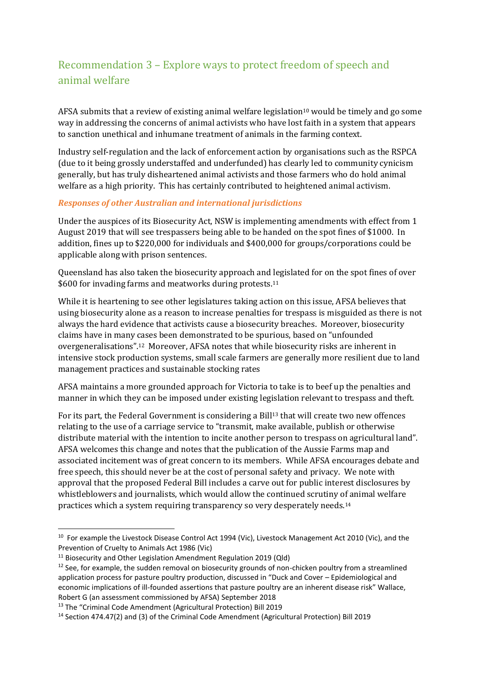## <span id="page-6-0"></span>Recommendation 3 – Explore ways to protect freedom of speech and animal welfare

AFSA submits that a review of existing animal welfare legislation<sup>10</sup> would be timely and go some way in addressing the concerns of animal activists who have lost faith in a system that appears to sanction unethical and inhumane treatment of animals in the farming context.

Industry self-regulation and the lack of enforcement action by organisations such as the RSPCA (due to it being grossly understaffed and underfunded) has clearly led to community cynicism generally, but has truly disheartened animal activists and those farmers who do hold animal welfare as a high priority. This has certainly contributed to heightened animal activism.

#### *Responses of other Australian and international jurisdictions*

Under the auspices of its Biosecurity Act, NSW is implementing amendments with effect from 1 August 2019 that will see trespassers being able to be handed on the spot fines of \$1000. In addition, fines up to \$220,000 for individuals and \$400,000 for groups/corporations could be applicable along with prison sentences.

Queensland has also taken the biosecurity approach and legislated for on the spot fines of over \$600 for invading farms and meatworks during protests.<sup>11</sup>

While it is heartening to see other legislatures taking action on this issue, AFSA believes that using biosecurity alone as a reason to increase penalties for trespass is misguided as there is not always the hard evidence that activists cause a biosecurity breaches. Moreover, biosecurity claims have in many cases been demonstrated to be spurious, based on "unfounded overgeneralisations". <sup>12</sup> Moreover, AFSA notes that while biosecurity risks are inherent in intensive stock production systems, small scale farmers are generally more resilient due to land management practices and sustainable stocking rates

AFSA maintains a more grounded approach for Victoria to take is to beef up the penalties and manner in which they can be imposed under existing legislation relevant to trespass and theft.

For its part, the Federal Government is considering a Bill<sup>13</sup> that will create two new offences relating to the use of a carriage service to "transmit, make available, publish or otherwise distribute material with the intention to incite another person to trespass on agricultural land". AFSA welcomes this change and notes that the publication of the Aussie Farms map and associated incitement was of great concern to its members. While AFSA encourages debate and free speech, this should never be at the cost of personal safety and privacy. We note with approval that the proposed Federal Bill includes a carve out for public interest disclosures by whistleblowers and journalists, which would allow the continued scrutiny of animal welfare practices which a system requiring transparency so very desperately needs.<sup>14</sup>

1

<sup>&</sup>lt;sup>10</sup> For example the Livestock Disease Control Act 1994 (Vic), Livestock Management Act 2010 (Vic), and the Prevention of Cruelty to Animals Act 1986 (Vic)

 $11$  Biosecurity and Other Legislation Amendment Regulation 2019 (Qld)

 $12$  See, for example, the sudden removal on biosecurity grounds of non-chicken poultry from a streamlined application process for pasture poultry production, discussed in "Duck and Cover – Epidemiological and economic implications of ill-founded assertions that pasture poultry are an inherent disease risk" Wallace, Robert G (an assessment commissioned by AFSA) September 2018

<sup>13</sup> The "Criminal Code Amendment (Agricultural Protection) Bill 2019

<sup>14</sup> Section 474.47(2) and (3) of the Criminal Code Amendment (Agricultural Protection) Bill 2019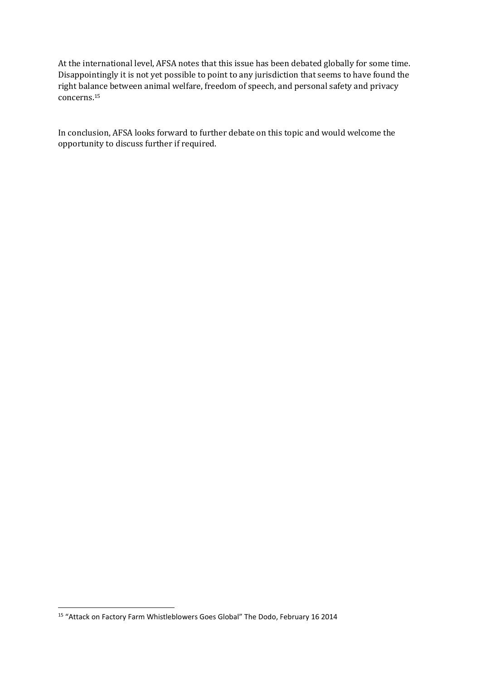At the international level, AFSA notes that this issue has been debated globally for some time. Disappointingly it is not yet possible to point to any jurisdiction that seems to have found the right balance between animal welfare, freedom of speech, and personal safety and privacy concerns.<sup>15</sup>

In conclusion, AFSA looks forward to further debate on this topic and would welcome the opportunity to discuss further if required.

**.** 

<sup>15</sup> "Attack on Factory Farm Whistleblowers Goes Global" The Dodo, February 16 2014